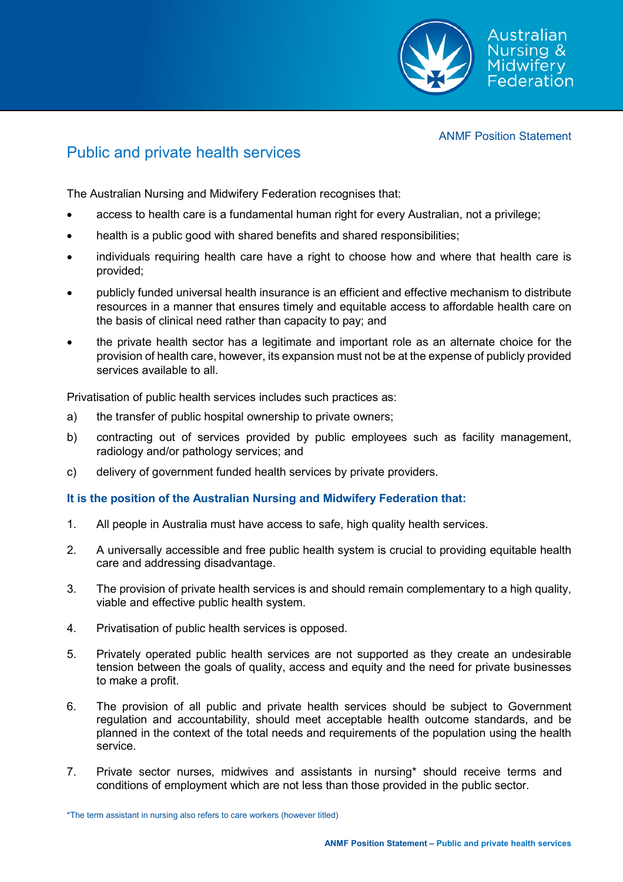

ANMF Position Statement

## Public and private health services

The Australian Nursing and Midwifery Federation recognises that:

- access to health care is a fundamental human right for every Australian, not a privilege;
- health is a public good with shared benefits and shared responsibilities;
- individuals requiring health care have a right to choose how and where that health care is provided;
- publicly funded universal health insurance is an efficient and effective mechanism to distribute resources in a manner that ensures timely and equitable access to affordable health care on the basis of clinical need rather than capacity to pay; and
- the private health sector has a legitimate and important role as an alternate choice for the provision of health care, however, its expansion must not be at the expense of publicly provided services available to all.

Privatisation of public health services includes such practices as:

- a) the transfer of public hospital ownership to private owners;
- b) contracting out of services provided by public employees such as facility management, radiology and/or pathology services; and
- c) delivery of government funded health services by private providers.

## **It is the position of the Australian Nursing and Midwifery Federation that:**

- 1. All people in Australia must have access to safe, high quality health services.
- 2. A universally accessible and free public health system is crucial to providing equitable health care and addressing disadvantage.
- 3. The provision of private health services is and should remain complementary to a high quality, viable and effective public health system.
- 4. Privatisation of public health services is opposed.
- 5. Privately operated public health services are not supported as they create an undesirable tension between the goals of quality, access and equity and the need for private businesses to make a profit.
- 6. The provision of all public and private health services should be subject to Government regulation and accountability, should meet acceptable health outcome standards, and be planned in the context of the total needs and requirements of the population using the health service.
- 7. Private sector nurses, midwives and assistants in nursing\* should receive terms and conditions of employment which are not less than those provided in the public sector.

\*The term assistant in nursing also refers to care workers (however titled)